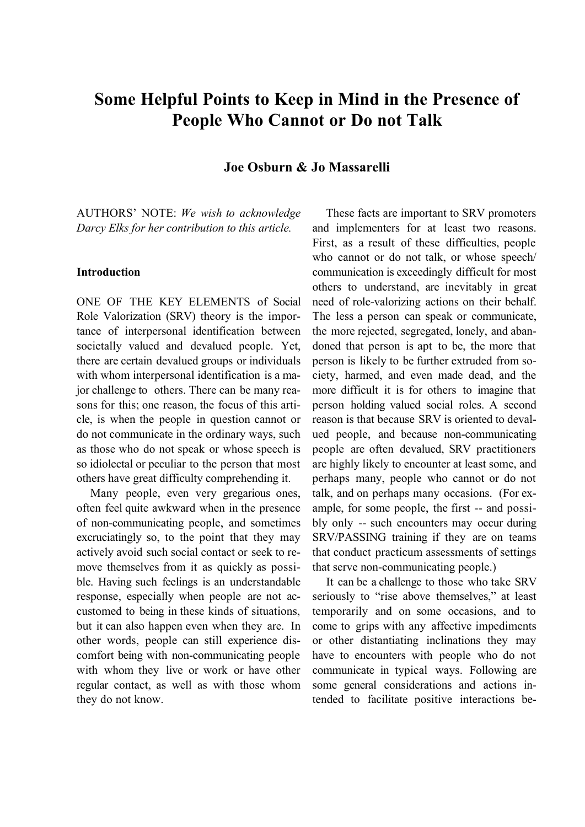# **Some Helpful Points to Keep in Mind in the Presence of People Who Cannot or Do not Talk**

**Joe Osburn & Jo Massarelli**

AUTHORS' NOTE: *We wish to acknowledge Darcy Elks for her contribution to this article.*

### **Introduction**

ONE OF THE KEY ELEMENTS of Social Role Valorization (SRV) theory is the importance of interpersonal identification between societally valued and devalued people. Yet, there are certain devalued groups or individuals with whom interpersonal identification is a major challenge to others. There can be many reasons for this; one reason, the focus of this article, is when the people in question cannot or do not communicate in the ordinary ways, such as those who do not speak or whose speech is so idiolectal or peculiar to the person that most others have great difficulty comprehending it.

Many people, even very gregarious ones, often feel quite awkward when in the presence of non-communicating people, and sometimes excruciatingly so, to the point that they may actively avoid such social contact or seek to remove themselves from it as quickly as possible. Having such feelings is an understandable response, especially when people are not accustomed to being in these kinds of situations, but it can also happen even when they are. In other words, people can still experience discomfort being with non-communicating people with whom they live or work or have other regular contact, as well as with those whom they do not know.

These facts are important to SRV promoters and implementers for at least two reasons. First, as a result of these difficulties, people who cannot or do not talk, or whose speech/ communication is exceedingly difficult for most others to understand, are inevitably in great need of role-valorizing actions on their behalf. The less a person can speak or communicate, the more rejected, segregated, lonely, and abandoned that person is apt to be, the more that person is likely to be further extruded from society, harmed, and even made dead, and the more difficult it is for others to imagine that person holding valued social roles. A second reason is that because SRV is oriented to devalued people, and because non-communicating people are often devalued, SRV practitioners are highly likely to encounter at least some, and perhaps many, people who cannot or do not talk, and on perhaps many occasions. (For example, for some people, the first -- and possibly only -- such encounters may occur during SRV/PASSING training if they are on teams that conduct practicum assessments of settings that serve non-communicating people.)

It can be a challenge to those who take SRV seriously to "rise above themselves," at least temporarily and on some occasions, and to come to grips with any affective impediments or other distantiating inclinations they may have to encounters with people who do not communicate in typical ways. Following are some general considerations and actions intended to facilitate positive interactions be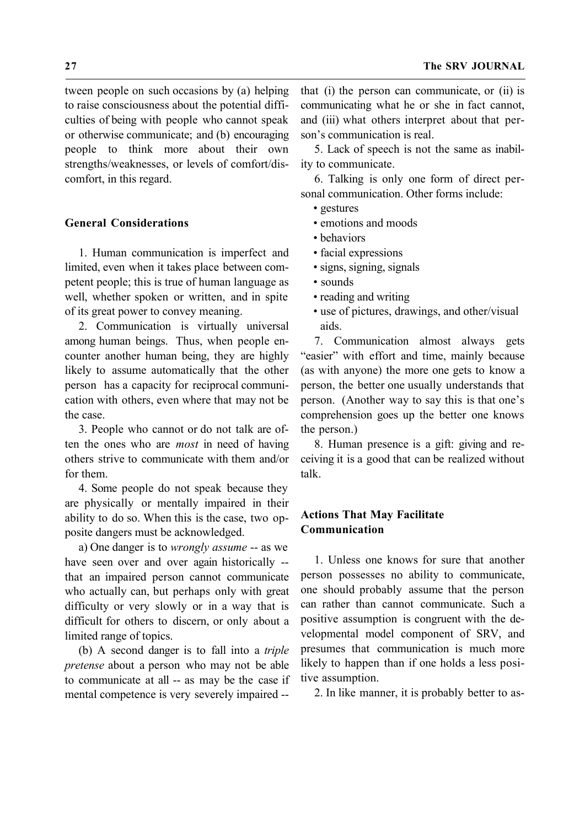tween people on such occasions by (a) helping to raise consciousness about the potential difficulties of being with people who cannot speak or otherwise communicate; and (b) encouraging people to think more about their own strengths/weaknesses, or levels of comfort/discomfort, in this regard.

## **General Considerations**

1. Human communication is imperfect and limited, even when it takes place between competent people; this is true of human language as well, whether spoken or written, and in spite of its great power to convey meaning.

2. Communication is virtually universal among human beings. Thus, when people encounter another human being, they are highly likely to assume automatically that the other person has a capacity for reciprocal communication with others, even where that may not be the case.

3. People who cannot or do not talk are often the ones who are *most* in need of having others strive to communicate with them and/or for them.

4. Some people do not speak because they are physically or mentally impaired in their ability to do so. When this is the case, two opposite dangers must be acknowledged.

a) One danger is to *wrongly assume* -- as we have seen over and over again historically - that an impaired person cannot communicate who actually can, but perhaps only with great difficulty or very slowly or in a way that is difficult for others to discern, or only about a limited range of topics.

(b) A second danger is to fall into a *triple pretense* about a person who may not be able to communicate at all -- as may be the case if mental competence is very severely impaired --

that (i) the person can communicate, or (ii) is communicating what he or she in fact cannot, and (iii) what others interpret about that person's communication is real.

5. Lack of speech is not the same as inability to communicate.

6. Talking is only one form of direct personal communication. Other forms include:

- gestures
- emotions and moods
- behaviors
- facial expressions
- signs, signing, signals
- sounds
- reading and writing
- use of pictures, drawings, and other/visual aids.

7. Communication almost always gets "easier" with effort and time, mainly because (as with anyone) the more one gets to know a person, the better one usually understands that person. (Another way to say this is that one's comprehension goes up the better one knows the person.)

 8. Human presence is a gift: giving and receiving it is a good that can be realized without talk.

# **Actions That May Facilitate Communication**

1. Unless one knows for sure that another person possesses no ability to communicate, one should probably assume that the person can rather than cannot communicate. Such a positive assumption is congruent with the developmental model component of SRV, and presumes that communication is much more likely to happen than if one holds a less positive assumption.

2. In like manner, it is probably better to as-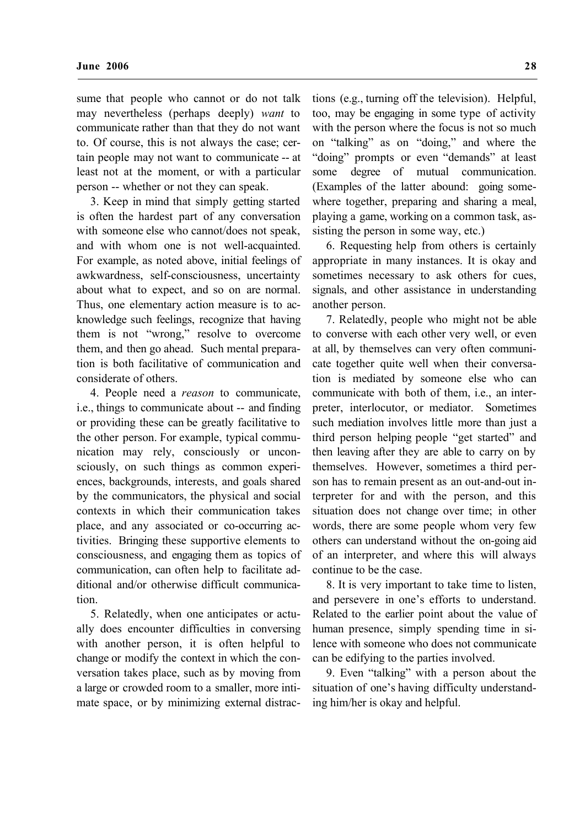sume that people who cannot or do not talk may nevertheless (perhaps deeply) *want* to communicate rather than that they do not want to. Of course, this is not always the case; certain people may not want to communicate -- at least not at the moment, or with a particular person -- whether or not they can speak.

3. Keep in mind that simply getting started is often the hardest part of any conversation with someone else who cannot/does not speak, and with whom one is not well-acquainted. For example, as noted above, initial feelings of awkwardness, self-consciousness, uncertainty about what to expect, and so on are normal. Thus, one elementary action measure is to acknowledge such feelings, recognize that having them is not "wrong," resolve to overcome them, and then go ahead. Such mental preparation is both facilitative of communication and considerate of others.

4. People need a *reason* to communicate, i.e., things to communicate about -- and finding or providing these can be greatly facilitative to the other person. For example, typical communication may rely, consciously or unconsciously, on such things as common experiences, backgrounds, interests, and goals shared by the communicators, the physical and social contexts in which their communication takes place, and any associated or co-occurring activities. Bringing these supportive elements to consciousness, and engaging them as topics of communication, can often help to facilitate additional and/or otherwise difficult communication.

5. Relatedly, when one anticipates or actually does encounter difficulties in conversing with another person, it is often helpful to change or modify the context in which the conversation takes place, such as by moving from a large or crowded room to a smaller, more intimate space, or by minimizing external distractions (e.g., turning off the television). Helpful, too, may be engaging in some type of activity with the person where the focus is not so much on "talking" as on "doing," and where the "doing" prompts or even "demands" at least some degree of mutual communication. (Examples of the latter abound: going somewhere together, preparing and sharing a meal, playing a game, working on a common task, assisting the person in some way, etc.)

6. Requesting help from others is certainly appropriate in many instances. It is okay and sometimes necessary to ask others for cues, signals, and other assistance in understanding another person.

7. Relatedly, people who might not be able to converse with each other very well, or even at all, by themselves can very often communicate together quite well when their conversation is mediated by someone else who can communicate with both of them, i.e., an interpreter, interlocutor, or mediator. Sometimes such mediation involves little more than just a third person helping people "get started" and then leaving after they are able to carry on by themselves. However, sometimes a third person has to remain present as an out-and-out interpreter for and with the person, and this situation does not change over time; in other words, there are some people whom very few others can understand without the on-going aid of an interpreter, and where this will always continue to be the case.

8. It is very important to take time to listen, and persevere in one's efforts to understand. Related to the earlier point about the value of human presence, simply spending time in silence with someone who does not communicate can be edifying to the parties involved.

9. Even "talking" with a person about the situation of one's having difficulty understanding him/her is okay and helpful.